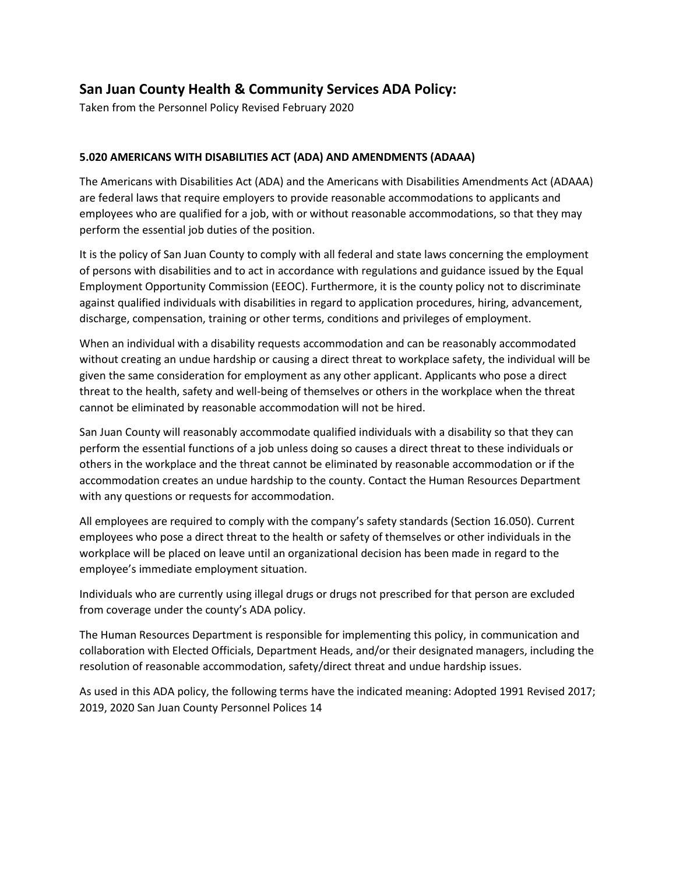## **San Juan County Health & Community Services ADA Policy:**

Taken from the Personnel Policy Revised February 2020

## **5.020 AMERICANS WITH DISABILITIES ACT (ADA) AND AMENDMENTS (ADAAA)**

The Americans with Disabilities Act (ADA) and the Americans with Disabilities Amendments Act (ADAAA) are federal laws that require employers to provide reasonable accommodations to applicants and employees who are qualified for a job, with or without reasonable accommodations, so that they may perform the essential job duties of the position.

It is the policy of San Juan County to comply with all federal and state laws concerning the employment of persons with disabilities and to act in accordance with regulations and guidance issued by the Equal Employment Opportunity Commission (EEOC). Furthermore, it is the county policy not to discriminate against qualified individuals with disabilities in regard to application procedures, hiring, advancement, discharge, compensation, training or other terms, conditions and privileges of employment.

When an individual with a disability requests accommodation and can be reasonably accommodated without creating an undue hardship or causing a direct threat to workplace safety, the individual will be given the same consideration for employment as any other applicant. Applicants who pose a direct threat to the health, safety and well-being of themselves or others in the workplace when the threat cannot be eliminated by reasonable accommodation will not be hired.

San Juan County will reasonably accommodate qualified individuals with a disability so that they can perform the essential functions of a job unless doing so causes a direct threat to these individuals or others in the workplace and the threat cannot be eliminated by reasonable accommodation or if the accommodation creates an undue hardship to the county. Contact the Human Resources Department with any questions or requests for accommodation.

All employees are required to comply with the company's safety standards (Section 16.050). Current employees who pose a direct threat to the health or safety of themselves or other individuals in the workplace will be placed on leave until an organizational decision has been made in regard to the employee's immediate employment situation.

Individuals who are currently using illegal drugs or drugs not prescribed for that person are excluded from coverage under the county's ADA policy.

The Human Resources Department is responsible for implementing this policy, in communication and collaboration with Elected Officials, Department Heads, and/or their designated managers, including the resolution of reasonable accommodation, safety/direct threat and undue hardship issues.

As used in this ADA policy, the following terms have the indicated meaning: Adopted 1991 Revised 2017; 2019, 2020 San Juan County Personnel Polices 14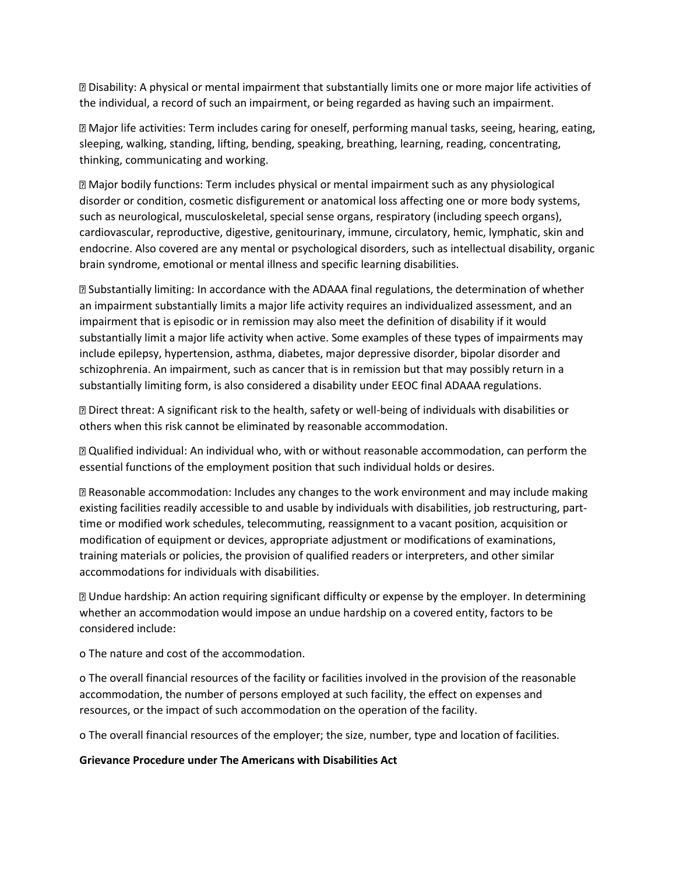Disability: A physical or mental impairment that substantially limits one or more major life activities of the individual, a record of such an impairment, or being regarded as having such an impairment.

Major life activities: Term includes caring for oneself, performing manual tasks, seeing, hearing, eating, sleeping, walking, standing, lifting, bending, speaking, breathing, learning, reading, concentrating, thinking, communicating and working.

Major bodily functions: Term includes physical or mental impairment such as any physiological disorder or condition, cosmetic disfigurement or anatomical loss affecting one or more body systems, such as neurological, musculoskeletal, special sense organs, respiratory (including speech organs), cardiovascular, reproductive, digestive, genitourinary, immune, circulatory, hemic, lymphatic, skin and endocrine. Also covered are any mental or psychological disorders, such as intellectual disability, organic brain syndrome, emotional or mental illness and specific learning disabilities.

Substantially limiting: In accordance with the ADAAA final regulations, the determination of whether an impairment substantially limits a major life activity requires an individualized assessment, and an impairment that is episodic or in remission may also meet the definition of disability if it would substantially limit a major life activity when active. Some examples of these types of impairments may include epilepsy, hypertension, asthma, diabetes, major depressive disorder, bipolar disorder and schizophrenia. An impairment, such as cancer that is in remission but that may possibly return in a substantially limiting form, is also considered a disability under EEOC final ADAAA regulations.

Direct threat: A significant risk to the health, safety or well-being of individuals with disabilities or others when this risk cannot be eliminated by reasonable accommodation.

Qualified individual: An individual who, with or without reasonable accommodation, can perform the essential functions of the employment position that such individual holds or desires.

Reasonable accommodation: Includes any changes to the work environment and may include making existing facilities readily accessible to and usable by individuals with disabilities, job restructuring, parttime or modified work schedules, telecommuting, reassignment to a vacant position, acquisition or modification of equipment or devices, appropriate adjustment or modifications of examinations, training materials or policies, the provision of qualified readers or interpreters, and other similar accommodations for individuals with disabilities.

Undue hardship: An action requiring significant difficulty or expense by the employer. In determining whether an accommodation would impose an undue hardship on a covered entity, factors to be considered include:

o The nature and cost of the accommodation.

o The overall financial resources of the facility or facilities involved in the provision of the reasonable accommodation, the number of persons employed at such facility, the effect on expenses and resources, or the impact of such accommodation on the operation of the facility.

o The overall financial resources of the employer; the size, number, type and location of facilities.

## **Grievance Procedure under The Americans with Disabilities Act**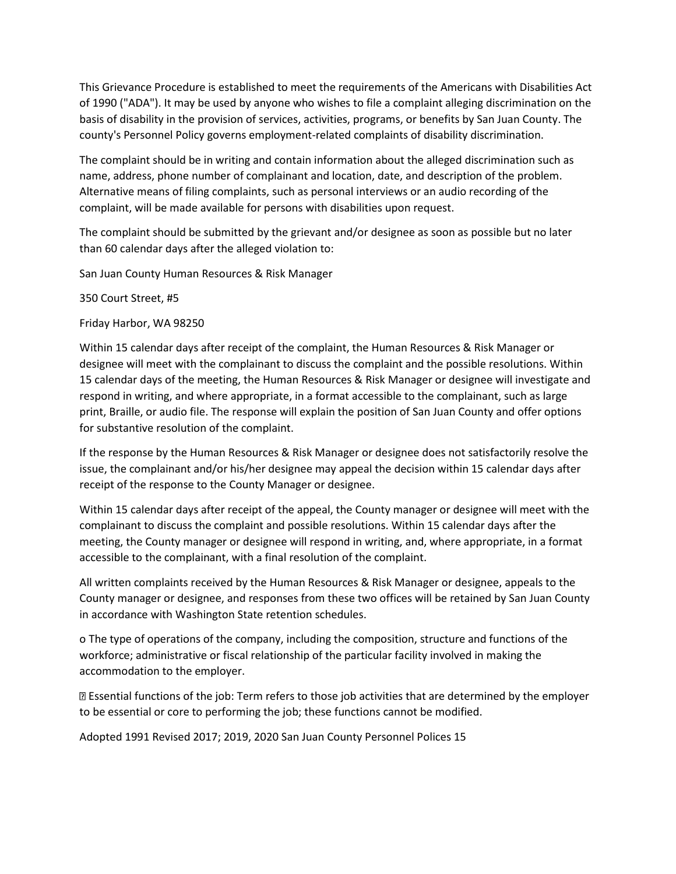This Grievance Procedure is established to meet the requirements of the Americans with Disabilities Act of 1990 ("ADA"). It may be used by anyone who wishes to file a complaint alleging discrimination on the basis of disability in the provision of services, activities, programs, or benefits by San Juan County. The county's Personnel Policy governs employment-related complaints of disability discrimination.

The complaint should be in writing and contain information about the alleged discrimination such as name, address, phone number of complainant and location, date, and description of the problem. Alternative means of filing complaints, such as personal interviews or an audio recording of the complaint, will be made available for persons with disabilities upon request.

The complaint should be submitted by the grievant and/or designee as soon as possible but no later than 60 calendar days after the alleged violation to:

San Juan County Human Resources & Risk Manager

350 Court Street, #5

Friday Harbor, WA 98250

Within 15 calendar days after receipt of the complaint, the Human Resources & Risk Manager or designee will meet with the complainant to discuss the complaint and the possible resolutions. Within 15 calendar days of the meeting, the Human Resources & Risk Manager or designee will investigate and respond in writing, and where appropriate, in a format accessible to the complainant, such as large print, Braille, or audio file. The response will explain the position of San Juan County and offer options for substantive resolution of the complaint.

If the response by the Human Resources & Risk Manager or designee does not satisfactorily resolve the issue, the complainant and/or his/her designee may appeal the decision within 15 calendar days after receipt of the response to the County Manager or designee.

Within 15 calendar days after receipt of the appeal, the County manager or designee will meet with the complainant to discuss the complaint and possible resolutions. Within 15 calendar days after the meeting, the County manager or designee will respond in writing, and, where appropriate, in a format accessible to the complainant, with a final resolution of the complaint.

All written complaints received by the Human Resources & Risk Manager or designee, appeals to the County manager or designee, and responses from these two offices will be retained by San Juan County in accordance with Washington State retention schedules.

o The type of operations of the company, including the composition, structure and functions of the workforce; administrative or fiscal relationship of the particular facility involved in making the accommodation to the employer.

Essential functions of the job: Term refers to those job activities that are determined by the employer to be essential or core to performing the job; these functions cannot be modified.

Adopted 1991 Revised 2017; 2019, 2020 San Juan County Personnel Polices 15